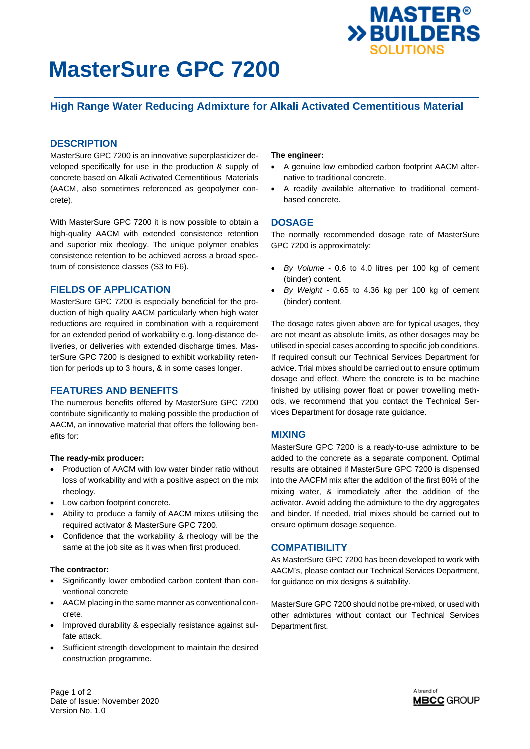

# **MasterSure GPC 7200**

## **High Range Water Reducing Admixture for Alkali Activated Cementitious Material**

## **DESCRIPTION**

MasterSure GPC 7200 is an innovative superplasticizer developed specifically for use in the production & supply of concrete based on Alkali Activated Cementitious Materials (AACM, also sometimes referenced as geopolymer concrete).

With MasterSure GPC 7200 it is now possible to obtain a high-quality AACM with extended consistence retention and superior mix rheology. The unique polymer enables consistence retention to be achieved across a broad spectrum of consistence classes (S3 to F6).

## **FIELDS OF APPLICATION**

MasterSure GPC 7200 is especially beneficial for the production of high quality AACM particularly when high water reductions are required in combination with a requirement for an extended period of workability e.g. long-distance deliveries, or deliveries with extended discharge times. MasterSure GPC 7200 is designed to exhibit workability retention for periods up to 3 hours, & in some cases longer.

#### **FEATURES AND BENEFITS**

The numerous benefits offered by MasterSure GPC 7200 contribute significantly to making possible the production of AACM, an innovative material that offers the following benefits for:

#### **The ready-mix producer:**

- Production of AACM with low water binder ratio without loss of workability and with a positive aspect on the mix rheology.
- Low carbon footprint concrete.
- Ability to produce a family of AACM mixes utilising the required activator & MasterSure GPC 7200.
- Confidence that the workability & rheology will be the same at the job site as it was when first produced.

#### **The contractor:**

- Significantly lower embodied carbon content than conventional concrete
- AACM placing in the same manner as conventional concrete.
- Improved durability & especially resistance against sulfate attack.
- Sufficient strength development to maintain the desired construction programme.

#### **The engineer:**

- A genuine low embodied carbon footprint AACM alternative to traditional concrete.
- A readily available alternative to traditional cementbased concrete.

#### **DOSAGE**

The normally recommended dosage rate of MasterSure GPC 7200 is approximately:

- *By Volume* 0.6 to 4.0 litres per 100 kg of cement (binder) content.
- *By Weight* 0.65 to 4.36 kg per 100 kg of cement (binder) content.

The dosage rates given above are for typical usages, they are not meant as absolute limits, as other dosages may be utilised in special cases according to specific job conditions. If required consult our Technical Services Department for advice. Trial mixes should be carried out to ensure optimum dosage and effect. Where the concrete is to be machine finished by utilising power float or power trowelling methods, we recommend that you contact the Technical Services Department for dosage rate guidance.

#### **MIXING**

MasterSure GPC 7200 is a ready-to-use admixture to be added to the concrete as a separate component. Optimal results are obtained if MasterSure GPC 7200 is dispensed into the AACFM mix after the addition of the first 80% of the mixing water, & immediately after the addition of the activator. Avoid adding the admixture to the dry aggregates and binder. If needed, trial mixes should be carried out to ensure optimum dosage sequence.

### **COMPATIBILITY**

As MasterSure GPC 7200 has been developed to work with AACM's, please contact our Technical Services Department, for guidance on mix designs & suitability.

MasterSure GPC 7200 should not be pre-mixed, or used with other admixtures without contact our Technical Services Department first.

Page 1 of 2 Date of Issue: November 2020 Version No. 1.0